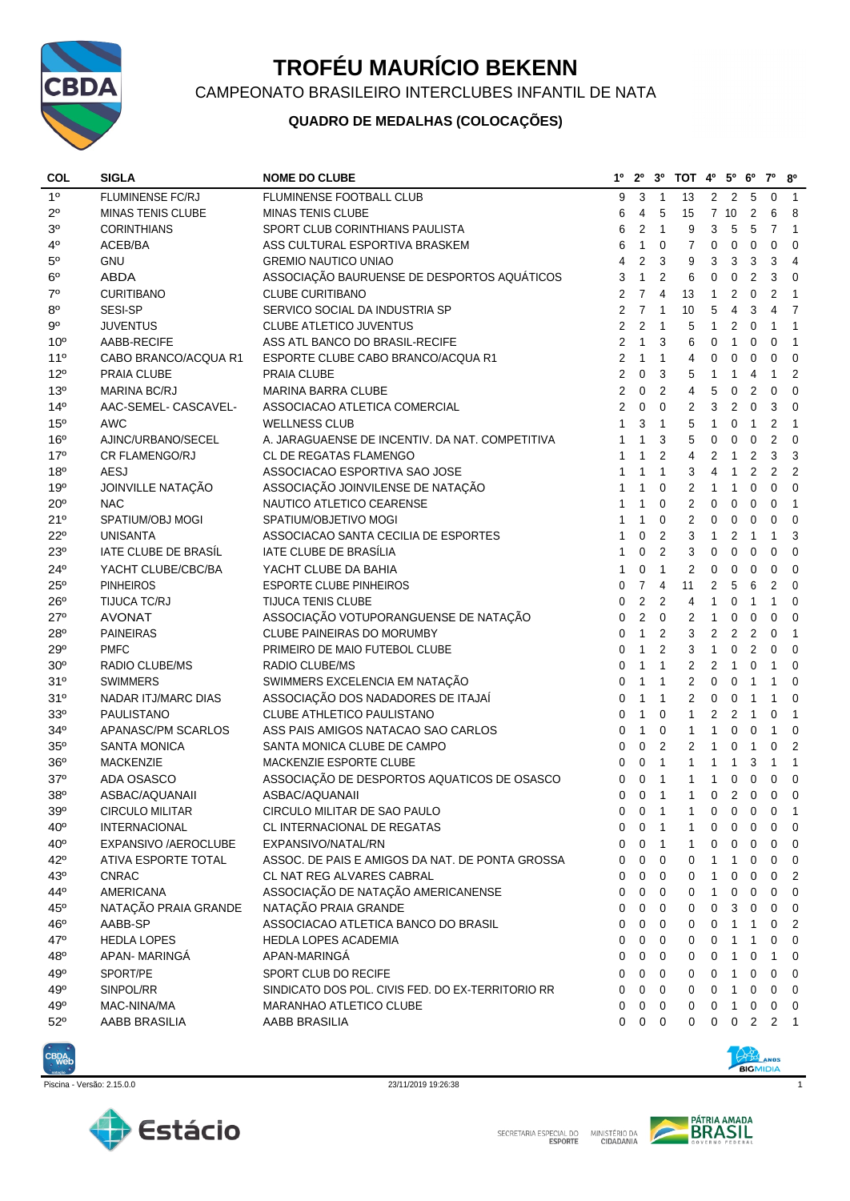

## **TROFÉU MAURÍCIO BEKENN**

CAMPEONATO BRASILEIRO INTERCLUBES INFANTIL DE NATA

## **QUADRO DE MEDALHAS (COLOCAÇÕES)**

| <b>COL</b>      | <b>SIGLA</b>             | <b>NOME DO CLUBE</b>                              | 1º             | $2^{\circ}$    | 3 <sup>0</sup>   | TOT 4º 5º 6º     |                |                |                | $7^{\circ}$    | 80             |
|-----------------|--------------------------|---------------------------------------------------|----------------|----------------|------------------|------------------|----------------|----------------|----------------|----------------|----------------|
| 1 <sup>0</sup>  | <b>FLUMINENSE FC/RJ</b>  | FLUMINENSE FOOTBALL CLUB                          | 9              | 3              | $\overline{1}$   | 13               |                | 2 2            | 5              | $\mathbf 0$    | $\overline{1}$ |
| $2^{\circ}$     | <b>MINAS TENIS CLUBE</b> | <b>MINAS TENIS CLUBE</b>                          | 6              | 4              | 5                | 15               |                | 7 10           | 2              | 6              | 8              |
| 3 <sup>o</sup>  | <b>CORINTHIANS</b>       | SPORT CLUB CORINTHIANS PAULISTA                   | 6              | $\overline{2}$ | $\overline{1}$   | 9                | 3              | 5              | 5              | 7              | $\overline{1}$ |
| $4^{\circ}$     | ACEB/BA                  | ASS CULTURAL ESPORTIVA BRASKEM                    | 6              | $\mathbf{1}$   | 0                | 7                | 0              | $\mathbf 0$    | 0              | $\mathbf 0$    | $\mathbf 0$    |
| $5^{\circ}$     | <b>GNU</b>               | <b>GREMIO NAUTICO UNIAO</b>                       | 4              | $\overline{2}$ | 3                | 9                | 3              | 3              | 3              | 3              | 4              |
| 6 <sup>o</sup>  | <b>ABDA</b>              | ASSOCIAÇÃO BAURUENSE DE DESPORTOS AQUÁTICOS       | 3              | $\mathbf{1}$   | 2                | 6                | 0              | 0              | $\overline{2}$ | 3              | $\mathbf 0$    |
| $7^\circ$       | <b>CURITIBANO</b>        | <b>CLUBE CURITIBANO</b>                           | $\overline{2}$ | $\overline{7}$ | 4                | 13               | 1              | 2              | $\mathbf 0$    | 2              | $\overline{1}$ |
| $8^{\circ}$     | SESI-SP                  | SERVICO SOCIAL DA INDUSTRIA SP                    | $\overline{2}$ | $\overline{7}$ | $\mathbf{1}$     | 10               | 5              | 4              | 3              | 4              | $\overline{7}$ |
| $9^{\circ}$     | <b>JUVENTUS</b>          | CLUBE ATLETICO JUVENTUS                           | $\overline{2}$ | $\overline{2}$ | $\overline{1}$   | 5                | $\mathbf{1}$   | 2              | $\mathbf 0$    | 1              | $\mathbf{1}$   |
| 10 <sup>o</sup> | AABB-RECIFE              | ASS ATL BANCO DO BRASIL-RECIFE                    | $\overline{2}$ | $\mathbf{1}$   | 3                | 6                | 0              | $\mathbf{1}$   | 0              | $\Omega$       | $\mathbf{1}$   |
| 11 <sup>0</sup> | CABO BRANCO/ACQUA R1     | ESPORTE CLUBE CABO BRANCO/ACQUA R1                | 2              | $\mathbf{1}$   | $\mathbf{1}$     | 4                | 0              | 0              | 0              | $\mathbf 0$    | $\mathbf 0$    |
| $12^{\circ}$    | PRAIA CLUBE              | <b>PRAIA CLUBE</b>                                | $\overline{2}$ | $\mathbf 0$    | 3                | 5                | $\mathbf{1}$   | $\mathbf{1}$   | 4              | 1              | $\overline{2}$ |
| 13 <sup>o</sup> | MARINA BC/RJ             | <b>MARINA BARRA CLUBE</b>                         | 2              | 0              | 2                | 4                | 5              | 0              | 2              | $\mathbf 0$    | 0              |
| 14 <sup>°</sup> | AAC-SEMEL- CASCAVEL-     | ASSOCIACAO ATLETICA COMERCIAL                     | $\overline{2}$ | $\mathbf 0$    | $\mathbf 0$      | 2                | 3              | 2              | 0              | 3              | $\mathbf 0$    |
| 15 <sup>o</sup> | <b>AWC</b>               | <b>WELLNESS CLUB</b>                              | 1              | 3              | $\mathbf{1}$     | 5                | $\mathbf{1}$   | 0              | $\mathbf{1}$   | $\overline{2}$ | $\mathbf{1}$   |
| 16°             | AJINC/URBANO/SECEL       | A. JARAGUAENSE DE INCENTIV. DA NAT. COMPETITIVA   | 1              | $\mathbf{1}$   | 3                | 5                | 0              | 0              | 0              | $\overline{2}$ | $\mathbf 0$    |
| 17 <sup>°</sup> | CR FLAMENGO/RJ           | <b>CL DE REGATAS FLAMENGO</b>                     | 1              | $\mathbf{1}$   | $\overline{2}$   | 4                | 2              | $\mathbf{1}$   | 2              | 3              | 3              |
| 18 <sup>o</sup> | <b>AESJ</b>              | ASSOCIACAO ESPORTIVA SAO JOSE                     | 1              | 1              | 1                | 3                | 4              | $\mathbf{1}$   | 2              | $\overline{2}$ | $\overline{2}$ |
| 19 <sup>o</sup> | JOINVILLE NATAÇÃO        | ASSOCIAÇÃO JOINVILENSE DE NATAÇÃO                 | 1              | 1              | 0                | 2                | 1              | $\mathbf{1}$   | 0              | $\Omega$       | 0              |
| $20^{\circ}$    | <b>NAC</b>               | NAUTICO ATLETICO CEARENSE                         | 1              | $\mathbf{1}$   | $\mathbf 0$      | $\overline{2}$   | 0              | 0              | 0              | 0              | $\overline{1}$ |
| 21°             | SPATIUM/OBJ MOGI         | SPATIUM/OBJETIVO MOGI                             | 1              | $\mathbf{1}$   | $\mathbf 0$      | $\overline{c}$   | 0              | $\pmb{0}$      | $\mathbf 0$    | 0              | $\mathbf 0$    |
| $22^{\circ}$    | <b>UNISANTA</b>          | ASSOCIACAO SANTA CECILIA DE ESPORTES              | 1              | 0              | $\overline{2}$   | 3                | $\mathbf{1}$   | 2              | $\mathbf{1}$   | $\mathbf{1}$   | 3              |
| 23°             | IATE CLUBE DE BRASÍL     | IATE CLUBE DE BRASÍLIA                            | 1              | 0              | $\overline{c}$   | 3                | $\mathbf 0$    | $\mathbf 0$    | $\mathbf 0$    | $\Omega$       | $\mathbf 0$    |
| 24°             | YACHT CLUBE/CBC/BA       | YACHT CLUBE DA BAHIA                              | 1              | 0              | $\mathbf{1}$     | $\overline{2}$   | 0              | 0              | $\mathbf 0$    | $\mathbf 0$    | $\mathbf 0$    |
| $25^{\circ}$    | <b>PINHEIROS</b>         | <b>ESPORTE CLUBE PINHEIROS</b>                    | 0              | $\overline{7}$ | $\overline{4}$   | 11               | $\overline{2}$ | 5              | 6              | $\overline{2}$ | $\mathbf 0$    |
| $26^{\circ}$    | TIJUCA TC/RJ             | <b>TIJUCA TENIS CLUBE</b>                         | 0              | 2              | $\overline{c}$   | 4                | 1              | 0              | $\mathbf{1}$   | 1              | $\mathbf 0$    |
| $27^{\circ}$    | <b>AVONAT</b>            | ASSOCIAÇÃO VOTUPORANGUENSE DE NATAÇÃO             | 0              | $\overline{2}$ | 0                | 2                | 1              | 0              | $\mathbf 0$    | 0              | $\mathbf 0$    |
| 28 <sup>o</sup> | <b>PAINEIRAS</b>         | CLUBE PAINEIRAS DO MORUMBY                        | $\Omega$       | $\mathbf{1}$   | $\overline{2}$   | 3                | $\overline{2}$ | 2              | $\overline{2}$ | $\Omega$       | $\mathbf{1}$   |
| 29°             | <b>PMFC</b>              | PRIMEIRO DE MAIO FUTEBOL CLUBE                    | 0              | $\mathbf{1}$   | $\overline{2}$   | 3                | $\mathbf{1}$   | 0              | $\overline{2}$ | $\Omega$       | $\mathbf 0$    |
| 30 <sup>o</sup> | RADIO CLUBE/MS           | RADIO CLUBE/MS                                    | 0              | $\mathbf{1}$   | $\mathbf{1}$     | $\overline{2}$   | 2              | $\mathbf{1}$   | 0              | $\mathbf{1}$   | 0              |
| 31°             | <b>SWIMMERS</b>          | SWIMMERS EXCELENCIA EM NATAÇÃO                    | 0              | $\mathbf{1}$   | $\mathbf{1}$     | $\boldsymbol{2}$ | 0              | 0              | $\mathbf{1}$   | 1              | $\mathbf 0$    |
| 31°             | NADAR ITJ/MARC DIAS      | ASSOCIAÇÃO DOS NADADORES DE ITAJAÍ                | 0              | $\mathbf{1}$   | $\mathbf{1}$     | $\overline{2}$   | 0              | 0              | $\mathbf{1}$   | 1              | 0              |
| 33 <sup>0</sup> | PAULISTANO               | CLUBE ATHLETICO PAULISTANO                        | 0              | $\mathbf{1}$   | $\mathbf 0$      | $\mathbf{1}$     | 2              | $\overline{2}$ | $\mathbf{1}$   | 0              | $\mathbf{1}$   |
| 34°             | APANASC/PM SCARLOS       | ASS PAIS AMIGOS NATACAO SAO CARLOS                | 0              | $\mathbf{1}$   | $\boldsymbol{0}$ | $\mathbf{1}$     | 1              | 0              | 0              | 1              | 0              |
| 35 <sup>0</sup> | <b>SANTA MONICA</b>      | SANTA MONICA CLUBE DE CAMPO                       | 0              | $\pmb{0}$      | $\overline{2}$   | $\overline{2}$   | $\mathbf{1}$   | 0              | $\mathbf{1}$   | 0              | $\overline{2}$ |
| 36°             | <b>MACKENZIE</b>         | MACKENZIE ESPORTE CLUBE                           | $\Omega$       | $\mathbf 0$    | $\mathbf{1}$     | $\mathbf{1}$     | $\mathbf{1}$   | $\mathbf{1}$   | 3              | $\mathbf{1}$   | $\mathbf{1}$   |
| 37°             | ADA OSASCO               | ASSOCIAÇÃO DE DESPORTOS AQUATICOS DE OSASCO       | $\Omega$       | $\mathbf 0$    | $\mathbf{1}$     | $\mathbf{1}$     | $\mathbf{1}$   | 0              | $\mathbf 0$    | 0              | $\mathbf 0$    |
| 38°             | ASBAC/AQUANAII           | ASBAC/AQUANAII                                    | 0              | 0              | $\overline{1}$   | $\mathbf{1}$     | 0              | $\overline{2}$ | $\mathbf 0$    | $\mathbf 0$    | $\mathbf 0$    |
| $39^{\rm o}$    | CIRCULO MILITAR          | CIRCULO MILITAR DE SAO PAULO                      | 0              | $\mathsf 0$    | $\overline{1}$   | $\overline{1}$   | $\overline{0}$ | $\overline{0}$ | $\overline{0}$ | $\mathsf 0$    |                |
| $40^{\circ}$    | <b>INTERNACIONAL</b>     | CL INTERNACIONAL DE REGATAS                       | 0              | 0              | $\mathbf{1}$     | 1                | 0              | 0              | 0              | 0              | 0              |
| $40^{\circ}$    | EXPANSIVO / AEROCLUBE    | EXPANSIVO/NATAL/RN                                | 0              | 0              | $\overline{1}$   | 1                | 0              | 0              | 0              | 0              | 0              |
| 42°             | ATIVA ESPORTE TOTAL      | ASSOC. DE PAIS E AMIGOS DA NAT. DE PONTA GROSSA   | 0              | 0              | $\mathbf 0$      | 0                | 1              | $\mathbf{1}$   | 0              | 0              | $\mathbf 0$    |
| 43°             | <b>CNRAC</b>             | CL NAT REG ALVARES CABRAL                         | 0              | $\mathbf 0$    | $\mathbf 0$      | 0                | 1              | 0              | 0              | 0              | $\overline{2}$ |
| 44°             | <b>AMERICANA</b>         | ASSOCIAÇÃO DE NATAÇÃO AMERICANENSE                | 0              | 0              | $\mathbf 0$      | 0                | 1              | 0              | 0              | 0              | 0              |
| $45^{\circ}$    | NATAÇÃO PRAIA GRANDE     | NATAÇÃO PRAIA GRANDE                              | 0              | 0              | $\mathbf 0$      | $\mathbf 0$      | 0              | 3              | 0              | 0              | 0              |
| 46°             | AABB-SP                  | ASSOCIACAO ATLETICA BANCO DO BRASIL               | 0              | 0              | $\mathbf 0$      | 0                | 0              | 1              | 1              | 0              | 2              |
| 47°             | <b>HEDLA LOPES</b>       | HEDLA LOPES ACADEMIA                              | 0              | 0              | $\mathbf 0$      | 0                | 0              | $\mathbf{1}$   | $\mathbf{1}$   | 0              | 0              |
| 48 <sup>°</sup> | APAN-MARINGÁ             | APAN-MARINGA                                      | 0              | 0              | $\mathbf 0$      | 0                | 0              | $\mathbf{1}$   | 0              | 1              | 0              |
| 49°             | SPORT/PE                 | SPORT CLUB DO RECIFE                              |                | 0              | $\mathbf 0$      | 0                | 0              | 1              | 0              | 0              | 0              |
| 49°             | SINPOL/RR                | SINDICATO DOS POL. CIVIS FED. DO EX-TERRITORIO RR | 0<br>0         | $\mathbf 0$    | $\mathbf 0$      | 0                | 0              | $\mathbf{1}$   | 0              | $\mathbf 0$    | 0              |
| 49°             | MAC-NINA/MA              | MARANHAO ATLETICO CLUBE                           | 0              | 0              | $\mathbf 0$      | 0                | 0              | $\mathbf{1}$   | 0              | 0              | 0              |
| $52^{\circ}$    |                          |                                                   | 0              |                | $\mathbf 0$      | $\mathbf 0$      | 0              | $\mathbf 0$    | $2^{\circ}$    |                | $2 \quad 1$    |
|                 | AABB BRASILIA            | AABB BRASILIA                                     |                | 0              |                  |                  |                |                |                |                |                |



Piscina - Versão: 2.15.0.0 23/11/2019 19:26:38 1





 $\epsilon$ 

**ATH ANDS**